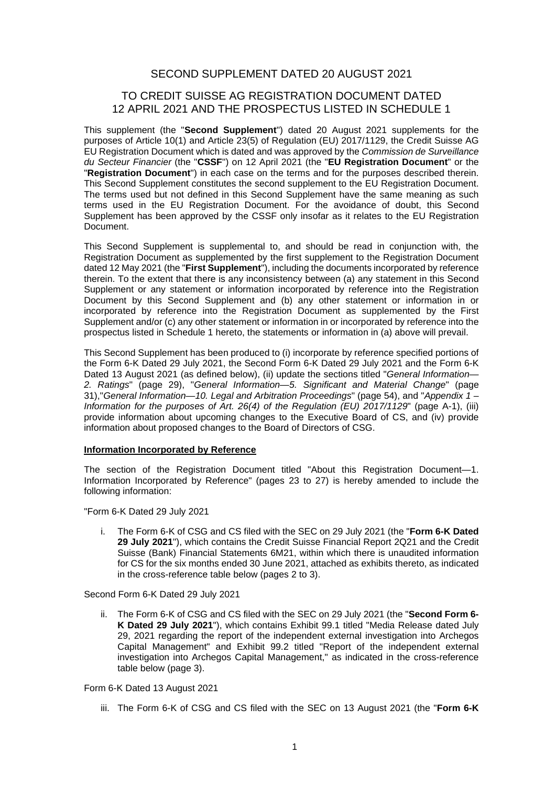# SECOND SUPPLEMENT DATED 20 AUGUST 2021

# TO CREDIT SUISSE AG REGISTRATION DOCUMENT DATED 12 APRIL 2021 AND THE PROSPECTUS LISTED IN SCHEDULE 1

This supplement (the "**Second Supplement**") dated 20 August 2021 supplements for the purposes of Article 10(1) and Article 23(5) of Regulation (EU) 2017/1129, the Credit Suisse AG EU Registration Document which is dated and was approved by the *Commission de Surveillance du Secteur Financier* (the "**CSSF**") on 12 April 2021 (the "**EU Registration Document**" or the "**Registration Document**") in each case on the terms and for the purposes described therein. This Second Supplement constitutes the second supplement to the EU Registration Document. The terms used but not defined in this Second Supplement have the same meaning as such terms used in the EU Registration Document. For the avoidance of doubt, this Second Supplement has been approved by the CSSF only insofar as it relates to the EU Registration Document.

This Second Supplement is supplemental to, and should be read in conjunction with, the Registration Document as supplemented by the first supplement to the Registration Document dated 12 May 2021 (the "**First Supplement**"), including the documents incorporated by reference therein. To the extent that there is any inconsistency between (a) any statement in this Second Supplement or any statement or information incorporated by reference into the Registration Document by this Second Supplement and (b) any other statement or information in or incorporated by reference into the Registration Document as supplemented by the First Supplement and/or (c) any other statement or information in or incorporated by reference into the prospectus listed in Schedule 1 hereto, the statements or information in (a) above will prevail.

This Second Supplement has been produced to (i) incorporate by reference specified portions of the Form 6-K Dated 29 July 2021, the Second Form 6-K Dated 29 July 2021 and the Form 6-K Dated 13 August 2021 (as defined below), (ii) update the sections titled "*General Information— 2. Ratings*" (page 29), "*General Information—5. Significant and Material Change*" (page 31),"*General Information—10. Legal and Arbitration Proceedings*" (page 54), and "*Appendix 1 – Information for the purposes of Art. 26(4) of the Regulation (EU) 2017/1129*" (page A-1), (iii) provide information about upcoming changes to the Executive Board of CS, and (iv) provide information about proposed changes to the Board of Directors of CSG.

# **Information Incorporated by Reference**

The section of the Registration Document titled "About this Registration Document—1. Information Incorporated by Reference" (pages 23 to 27) is hereby amended to include the following information:

"Form 6-K Dated 29 July 2021

i. The Form 6-K of CSG and CS filed with the SEC on 29 July 2021 (the "**Form 6-K Dated 29 July 2021**"), which contains the Credit Suisse Financial Report 2Q21 and the Credit Suisse (Bank) Financial Statements 6M21, within which there is unaudited information for CS for the six months ended 30 June 2021, attached as exhibits thereto, as indicated in the cross-reference table below (pages 2 to 3).

Second Form 6-K Dated 29 July 2021

ii. The Form 6-K of CSG and CS filed with the SEC on 29 July 2021 (the "**Second Form 6- K Dated 29 July 2021**"), which contains Exhibit 99.1 titled "Media Release dated July 29, 2021 regarding the report of the independent external investigation into Archegos Capital Management" and Exhibit 99.2 titled "Report of the independent external investigation into Archegos Capital Management," as indicated in the cross-reference table below (page 3).

# Form 6-K Dated 13 August 2021

iii. The Form 6-K of CSG and CS filed with the SEC on 13 August 2021 (the "**Form 6-K**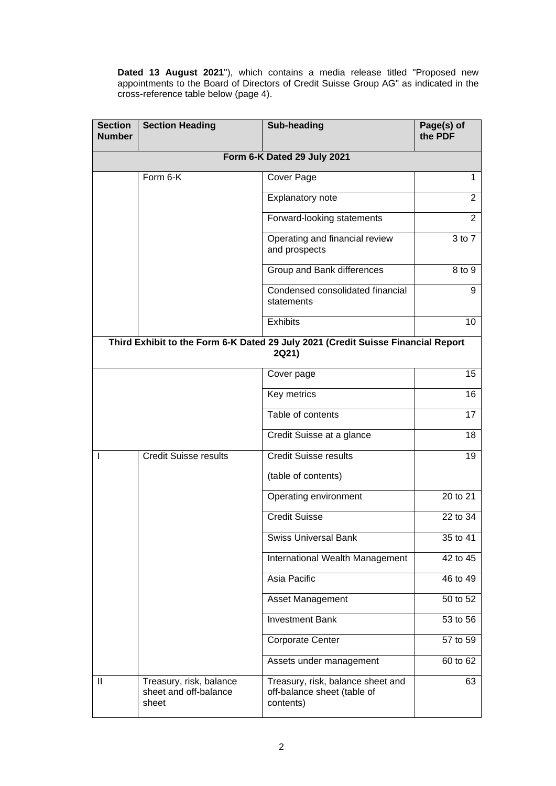**Dated 13 August 2021**"), which contains a media release titled "Proposed new appointments to the Board of Directors of Credit Suisse Group AG" as indicated in the cross-reference table below (page 4).

| <b>Section</b><br><b>Number</b> | <b>Section Heading</b>                                                                    | <b>Sub-heading</b>                                                            | Page(s) of<br>the PDF |  |  |  |
|---------------------------------|-------------------------------------------------------------------------------------------|-------------------------------------------------------------------------------|-----------------------|--|--|--|
|                                 |                                                                                           |                                                                               |                       |  |  |  |
|                                 | Form 6-K                                                                                  | Cover Page                                                                    | 1                     |  |  |  |
|                                 |                                                                                           | Explanatory note                                                              | $\overline{2}$        |  |  |  |
|                                 |                                                                                           | Forward-looking statements                                                    | 2                     |  |  |  |
|                                 |                                                                                           | Operating and financial review<br>and prospects                               | $3$ to $7$            |  |  |  |
|                                 |                                                                                           | Group and Bank differences                                                    | 8 to 9                |  |  |  |
|                                 |                                                                                           | Condensed consolidated financial<br>statements                                | 9                     |  |  |  |
|                                 |                                                                                           | <b>Exhibits</b>                                                               | 10                    |  |  |  |
|                                 | Third Exhibit to the Form 6-K Dated 29 July 2021 (Credit Suisse Financial Report<br>2Q21) |                                                                               |                       |  |  |  |
|                                 |                                                                                           | Cover page                                                                    | 15                    |  |  |  |
|                                 |                                                                                           | Key metrics                                                                   | 16                    |  |  |  |
|                                 |                                                                                           | Table of contents                                                             | 17                    |  |  |  |
|                                 |                                                                                           | Credit Suisse at a glance                                                     | 18                    |  |  |  |
| J.                              | <b>Credit Suisse results</b>                                                              | <b>Credit Suisse results</b>                                                  | 19                    |  |  |  |
|                                 |                                                                                           | (table of contents)                                                           |                       |  |  |  |
|                                 |                                                                                           | Operating environment                                                         | 20 to 21              |  |  |  |
|                                 |                                                                                           | <b>Credit Suisse</b>                                                          | 22 to 34              |  |  |  |
|                                 |                                                                                           | Swiss Universal Bank                                                          | 35 to 41              |  |  |  |
|                                 |                                                                                           | International Wealth Management                                               | 42 to 45              |  |  |  |
|                                 |                                                                                           | Asia Pacific                                                                  | 46 to 49              |  |  |  |
|                                 |                                                                                           | Asset Management                                                              | 50 to 52              |  |  |  |
|                                 |                                                                                           | <b>Investment Bank</b>                                                        | 53 to 56              |  |  |  |
|                                 |                                                                                           | <b>Corporate Center</b>                                                       | 57 to 59              |  |  |  |
|                                 |                                                                                           | Assets under management                                                       | 60 to 62              |  |  |  |
| Ш                               | Treasury, risk, balance<br>sheet and off-balance<br>sheet                                 | Treasury, risk, balance sheet and<br>off-balance sheet (table of<br>contents) | 63                    |  |  |  |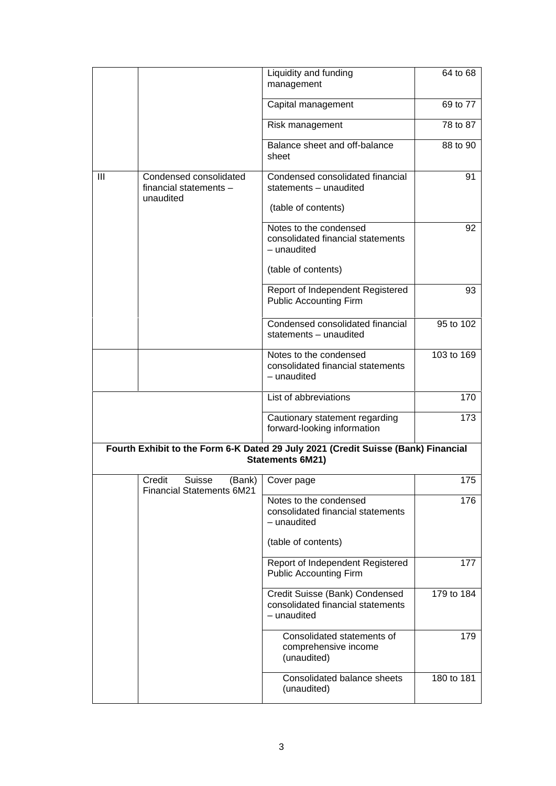|                |                                                                       | Liquidity and funding<br>management                                                                   | 64 to 68   |
|----------------|-----------------------------------------------------------------------|-------------------------------------------------------------------------------------------------------|------------|
|                |                                                                       | Capital management                                                                                    | 69 to 77   |
|                |                                                                       | Risk management                                                                                       | 78 to 87   |
|                |                                                                       | Balance sheet and off-balance<br>sheet                                                                | 88 to 90   |
| $\mathbf{III}$ | Condensed consolidated<br>financial statements -<br>unaudited         | Condensed consolidated financial<br>statements - unaudited                                            | 91         |
|                |                                                                       | (table of contents)                                                                                   |            |
|                |                                                                       | Notes to the condensed<br>consolidated financial statements<br>$-$ unaudited                          | 92         |
|                |                                                                       | (table of contents)                                                                                   |            |
|                |                                                                       | Report of Independent Registered<br><b>Public Accounting Firm</b>                                     | 93         |
|                |                                                                       | Condensed consolidated financial<br>statements - unaudited                                            | 95 to 102  |
|                |                                                                       | Notes to the condensed<br>consolidated financial statements<br>- unaudited                            | 103 to 169 |
|                |                                                                       | List of abbreviations                                                                                 | 170        |
|                |                                                                       | Cautionary statement regarding<br>forward-looking information                                         | 173        |
|                |                                                                       | Fourth Exhibit to the Form 6-K Dated 29 July 2021 (Credit Suisse (Bank) Financial<br>Statements 6M21) |            |
|                | Credit<br><b>Suisse</b><br>(Bank)<br><b>Financial Statements 6M21</b> | Cover page                                                                                            | 175        |
|                |                                                                       | Notes to the condensed<br>consolidated financial statements<br>- unaudited                            | 176        |
|                |                                                                       | (table of contents)                                                                                   |            |
|                |                                                                       | Report of Independent Registered<br><b>Public Accounting Firm</b>                                     | 177        |
|                |                                                                       | Credit Suisse (Bank) Condensed<br>consolidated financial statements<br>- unaudited                    | 179 to 184 |
|                |                                                                       | Consolidated statements of<br>comprehensive income<br>(unaudited)                                     | 179        |
|                |                                                                       | Consolidated balance sheets<br>(unaudited)                                                            | 180 to 181 |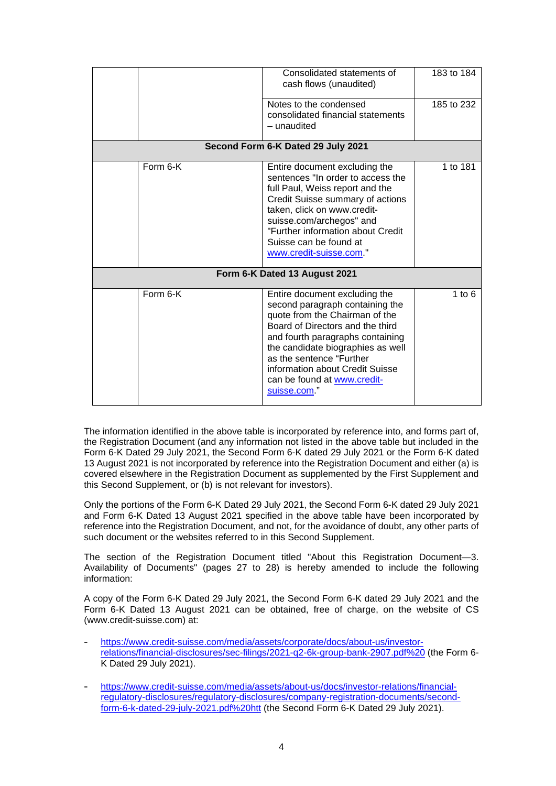|          | Consolidated statements of<br>cash flows (unaudited)                                                                                                                                                                                                                                                                         | 183 to 184 |
|----------|------------------------------------------------------------------------------------------------------------------------------------------------------------------------------------------------------------------------------------------------------------------------------------------------------------------------------|------------|
|          | Notes to the condensed<br>consolidated financial statements<br>- unaudited                                                                                                                                                                                                                                                   | 185 to 232 |
|          | Second Form 6-K Dated 29 July 2021                                                                                                                                                                                                                                                                                           |            |
| Form 6-K | Entire document excluding the<br>sentences "In order to access the<br>full Paul, Weiss report and the<br>Credit Suisse summary of actions<br>taken, click on www.credit-<br>suisse.com/archegos" and<br>"Further information about Credit<br>Suisse can be found at<br>www.credit-suisse.com."                               | 1 to 181   |
|          | Form 6-K Dated 13 August 2021                                                                                                                                                                                                                                                                                                |            |
| Form 6-K | Entire document excluding the<br>second paragraph containing the<br>quote from the Chairman of the<br>Board of Directors and the third<br>and fourth paragraphs containing<br>the candidate biographies as well<br>as the sentence "Further<br>information about Credit Suisse<br>can be found at www.credit-<br>suisse.com" | 1 to $6$   |

The information identified in the above table is incorporated by reference into, and forms part of, the Registration Document (and any information not listed in the above table but included in the Form 6-K Dated 29 July 2021, the Second Form 6-K dated 29 July 2021 or the Form 6-K dated 13 August 2021 is not incorporated by reference into the Registration Document and either (a) is covered elsewhere in the Registration Document as supplemented by the First Supplement and this Second Supplement, or (b) is not relevant for investors).

Only the portions of the Form 6-K Dated 29 July 2021, the Second Form 6-K dated 29 July 2021 and Form 6-K Dated 13 August 2021 specified in the above table have been incorporated by reference into the Registration Document, and not, for the avoidance of doubt, any other parts of such document or the websites referred to in this Second Supplement.

The section of the Registration Document titled "About this Registration Document—3. Availability of Documents" (pages 27 to 28) is hereby amended to include the following information:

A copy of the Form 6-K Dated 29 July 2021, the Second Form 6-K dated 29 July 2021 and the Form 6-K Dated 13 August 2021 can be obtained, free of charge, on the website of CS (www.credit-suisse.com) at:

- [https://www.credit-suisse.com/media/assets/corporate/docs/about-us/investor](https://www.credit-suisse.com/media/assets/corporate/docs/about-us/investor-relations/financial-disclosures/sec-filings/2021-q2-6k-group-bank-2907.pdf)[relations/financial-disclosures/sec-filings/2021-q2-6k-group-bank-2907.pdf%20](https://www.credit-suisse.com/media/assets/corporate/docs/about-us/investor-relations/financial-disclosures/sec-filings/2021-q2-6k-group-bank-2907.pdf) (the Form 6- K Dated 29 July 2021).
- [https://www.credit-suisse.com/media/assets/about-us/docs/investor-relations/financial](https://www.credit-suisse.com/media/assets/about-us/docs/investor-relations/financial-regulatory-disclosures/regulatory-disclosures/company-registration-documents/second-form-6-k-dated-29-july-2021.pdf)[regulatory-disclosures/regulatory-disclosures/company-registration-documents/second](https://www.credit-suisse.com/media/assets/about-us/docs/investor-relations/financial-regulatory-disclosures/regulatory-disclosures/company-registration-documents/second-form-6-k-dated-29-july-2021.pdf)[form-6-k-dated-29-july-2021.pdf%20htt \(the Second Form 6-K Dated 29 July 2021\).](https://www.credit-suisse.com/media/assets/about-us/docs/investor-relations/financial-regulatory-disclosures/regulatory-disclosures/company-registration-documents/second-form-6-k-dated-29-july-2021.pdf)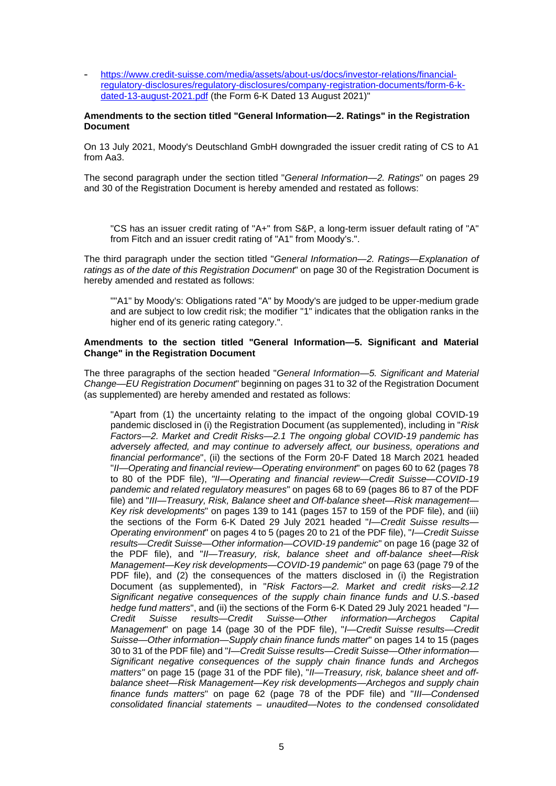- [https://www.credit-suisse.com/media/assets/about-us/docs/investor-relations/financial](https://www.credit-suisse.com/media/assets/about-us/docs/investor-relations/financial-regulatory-disclosures/regulatory-disclosures/company-registration-documents/form-6-k-dated-13-august-2021.pdf)[regulatory-disclosures/regulatory-disclosures/company-registration-documents/form-6-k](https://www.credit-suisse.com/media/assets/about-us/docs/investor-relations/financial-regulatory-disclosures/regulatory-disclosures/company-registration-documents/form-6-k-dated-13-august-2021.pdf)[dated-13-august-2021.pdf \(the Form 6-K Dated 13 August 2021\)"](https://www.credit-suisse.com/media/assets/about-us/docs/investor-relations/financial-regulatory-disclosures/regulatory-disclosures/company-registration-documents/form-6-k-dated-13-august-2021.pdf) 

# **Amendments to the section titled "General Information—2. Ratings" in the Registration Document**

On 13 July 2021, Moody's Deutschland GmbH downgraded the issuer credit rating of CS to A1 from Aa3.

The second paragraph under the section titled "*General Information—2. Ratings*" on pages 29 and 30 of the Registration Document is hereby amended and restated as follows:

"CS has an issuer credit rating of "A+" from S&P, a long-term issuer default rating of "A" from Fitch and an issuer credit rating of "A1" from Moody's.".

The third paragraph under the section titled "*General Information—2. Ratings—Explanation of ratings as of the date of this Registration Document*" on page 30 of the Registration Document is hereby amended and restated as follows:

""A1" by Moody's: Obligations rated "A" by Moody's are judged to be upper-medium grade and are subject to low credit risk; the modifier "1" indicates that the obligation ranks in the higher end of its generic rating category.".

# **Amendments to the section titled "General Information—5. Significant and Material Change" in the Registration Document**

The three paragraphs of the section headed "*General Information—5. Significant and Material Change—EU Registration Document*" beginning on pages 31 to 32 of the Registration Document (as supplemented) are hereby amended and restated as follows:

"Apart from (1) the uncertainty relating to the impact of the ongoing global COVID-19 pandemic disclosed in (i) the Registration Document (as supplemented), including in "*Risk Factors—2. Market and Credit Risks—2.1 The ongoing global COVID-19 pandemic has adversely affected, and may continue to adversely affect, our business, operations and financial performance*", (ii) the sections of the Form 20-F Dated 18 March 2021 headed "*II—Operating and financial review—Operating environment*" on pages 60 to 62 (pages 78 to 80 of the PDF file), *"II—Operating and financial review—Credit Suisse—COVID-19 pandemic and related regulatory measures*" on pages 68 to 69 (pages 86 to 87 of the PDF file) and "*III—Treasury, Risk, Balance sheet and Off-balance sheet—Risk management— Key risk developments*" on pages 139 to 141 (pages 157 to 159 of the PDF file), and (iii) the sections of the Form 6-K Dated 29 July 2021 headed "*I—Credit Suisse results— Operating environment*" on pages 4 to 5 (pages 20 to 21 of the PDF file), "*I—Credit Suisse results—Credit Suisse—Other information—COVID-19 pandemic*" on page 16 (page 32 of the PDF file), and "*II—Treasury, risk, balance sheet and off-balance sheet—Risk Management—Key risk developments—COVID-19 pandemic*" on page 63 (page 79 of the PDF file), and (2) the consequences of the matters disclosed in (i) the Registration Document (as supplemented), in "*Risk Factors—2. Market and credit risks—2.12 Significant negative consequences of the supply chain finance funds and U.S.-based hedge fund matters*", and (ii) the sections of the Form 6-K Dated 29 July 2021 headed "*I— Credit Suisse results—Credit Suisse—Other information—Archegos Capital Management*" on page 14 (page 30 of the PDF file), "*I—Credit Suisse results—Credit Suisse—Other information—Supply chain finance funds matter*" on pages 14 to 15 (pages 30 to 31 of the PDF file) and "*I—Credit Suisse results—Credit Suisse—Other information— Significant negative consequences of the supply chain finance funds and Archegos matters"* on page 15 (page 31 of the PDF file), "*II—Treasury, risk, balance sheet and offbalance sheet—Risk Management—Key risk developments—Archegos and supply chain finance funds matters*" on page 62 (page 78 of the PDF file) and "*III—Condensed consolidated financial statements – unaudited—Notes to the condensed consolidated*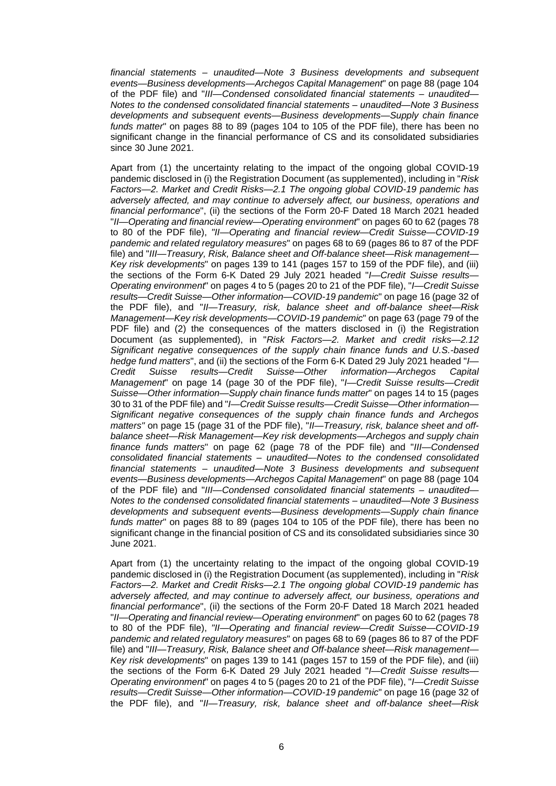*financial statements – unaudited—Note 3 Business developments and subsequent events—Business developments—Archegos Capital Management*" on page 88 (page 104 of the PDF file) and "*III—Condensed consolidated financial statements – unaudited— Notes to the condensed consolidated financial statements – unaudited—Note 3 Business developments and subsequent events—Business developments—Supply chain finance funds matter*" on pages 88 to 89 (pages 104 to 105 of the PDF file), there has been no significant change in the financial performance of CS and its consolidated subsidiaries since 30 June 2021.

Apart from (1) the uncertainty relating to the impact of the ongoing global COVID-19 pandemic disclosed in (i) the Registration Document (as supplemented), including in "*Risk Factors—2. Market and Credit Risks—2.1 The ongoing global COVID-19 pandemic has adversely affected, and may continue to adversely affect, our business, operations and financial performance*", (ii) the sections of the Form 20-F Dated 18 March 2021 headed "*II—Operating and financial review—Operating environment*" on pages 60 to 62 (pages 78 to 80 of the PDF file), *"II—Operating and financial review—Credit Suisse—COVID-19 pandemic and related regulatory measures*" on pages 68 to 69 (pages 86 to 87 of the PDF file) and "*III—Treasury, Risk, Balance sheet and Off-balance sheet—Risk management— Key risk developments*" on pages 139 to 141 (pages 157 to 159 of the PDF file), and (iii) the sections of the Form 6-K Dated 29 July 2021 headed "*I—Credit Suisse results— Operating environment*" on pages 4 to 5 (pages 20 to 21 of the PDF file), "*I—Credit Suisse results—Credit Suisse—Other information—COVID-19 pandemic*" on page 16 (page 32 of the PDF file), and "*II—Treasury, risk, balance sheet and off-balance sheet—Risk Management—Key risk developments—COVID-19 pandemic*" on page 63 (page 79 of the PDF file) and (2) the consequences of the matters disclosed in (i) the Registration Document (as supplemented), in "*Risk Factors—2. Market and credit risks—2.12 Significant negative consequences of the supply chain finance funds and U.S.-based hedge fund matters*", and (ii) the sections of the Form 6-K Dated 29 July 2021 headed "*I— Credit Suisse results—Credit Suisse—Other information—Archegos Capital Management*" on page 14 (page 30 of the PDF file), "*I—Credit Suisse results—Credit Suisse—Other information—Supply chain finance funds matter*" on pages 14 to 15 (pages 30 to 31 of the PDF file) and "*I—Credit Suisse results—Credit Suisse—Other information— Significant negative consequences of the supply chain finance funds and Archegos matters"* on page 15 (page 31 of the PDF file), "*II—Treasury, risk, balance sheet and offbalance sheet—Risk Management—Key risk developments—Archegos and supply chain finance funds matters*" on page 62 (page 78 of the PDF file) and "*III—Condensed consolidated financial statements – unaudited—Notes to the condensed consolidated financial statements – unaudited—Note 3 Business developments and subsequent events—Business developments—Archegos Capital Management*" on page 88 (page 104 of the PDF file) and "*III—Condensed consolidated financial statements – unaudited— Notes to the condensed consolidated financial statements – unaudited—Note 3 Business developments and subsequent events—Business developments—Supply chain finance funds matter*" on pages 88 to 89 (pages 104 to 105 of the PDF file), there has been no significant change in the financial position of CS and its consolidated subsidiaries since 30 June 2021.

Apart from (1) the uncertainty relating to the impact of the ongoing global COVID-19 pandemic disclosed in (i) the Registration Document (as supplemented), including in "*Risk Factors—2. Market and Credit Risks—2.1 The ongoing global COVID-19 pandemic has adversely affected, and may continue to adversely affect, our business, operations and financial performance*", (ii) the sections of the Form 20-F Dated 18 March 2021 headed "*II—Operating and financial review—Operating environment*" on pages 60 to 62 (pages 78 to 80 of the PDF file), *"II—Operating and financial review—Credit Suisse—COVID-19 pandemic and related regulatory measures*" on pages 68 to 69 (pages 86 to 87 of the PDF file) and "*III—Treasury, Risk, Balance sheet and Off-balance sheet—Risk management— Key risk developments*" on pages 139 to 141 (pages 157 to 159 of the PDF file), and (iii) the sections of the Form 6-K Dated 29 July 2021 headed "*I—Credit Suisse results— Operating environment*" on pages 4 to 5 (pages 20 to 21 of the PDF file), "*I—Credit Suisse results—Credit Suisse—Other information—COVID-19 pandemic*" on page 16 (page 32 of the PDF file), and "*II—Treasury, risk, balance sheet and off-balance sheet—Risk*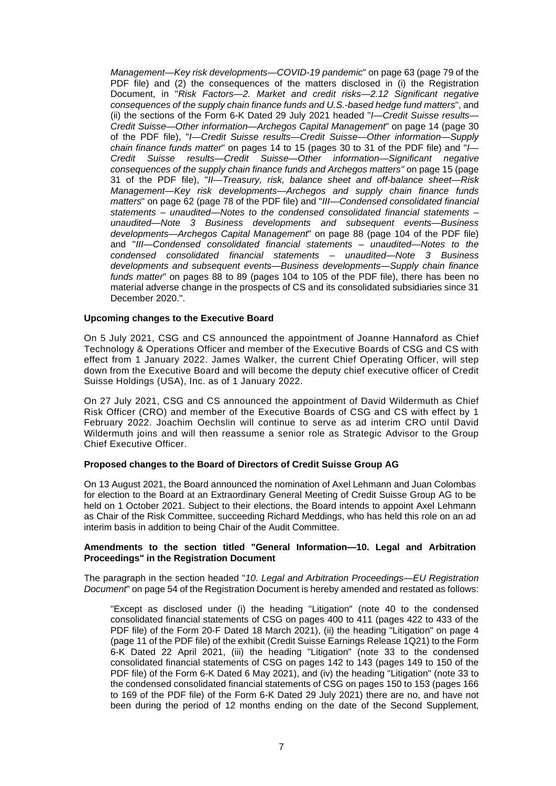*Management—Key risk developments—COVID-19 pandemic*" on page 63 (page 79 of the PDF file) and (2) the consequences of the matters disclosed in (i) the Registration Document, in "*Risk Factors—2. Market and credit risks—2.12 Significant negative consequences of the supply chain finance funds and U.S.-based hedge fund matters*", and (ii) the sections of the Form 6-K Dated 29 July 2021 headed "*I—Credit Suisse results— Credit Suisse—Other information—Archegos Capital Management*" on page 14 (page 30 of the PDF file), "*I—Credit Suisse results—Credit Suisse—Other information—Supply chain finance funds matter*" on pages 14 to 15 (pages 30 to 31 of the PDF file) and "*I— Credit Suisse results—Credit Suisse—Other information—Significant negative consequences of the supply chain finance funds and Archegos matters"* on page 15 (page 31 of the PDF file), "*II—Treasury, risk, balance sheet and off-balance sheet—Risk Management—Key risk developments—Archegos and supply chain finance funds matters*" on page 62 (page 78 of the PDF file) and "*III—Condensed consolidated financial statements – unaudited—Notes to the condensed consolidated financial statements – unaudited—Note 3 Business developments and subsequent events—Business developments—Archegos Capital Management*" on page 88 (page 104 of the PDF file) and "*III—Condensed consolidated financial statements – unaudited—Notes to the condensed consolidated financial statements – unaudited—Note 3 Business developments and subsequent events—Business developments—Supply chain finance funds matter*" on pages 88 to 89 (pages 104 to 105 of the PDF file), there has been no material adverse change in the prospects of CS and its consolidated subsidiaries since 31 December 2020.".

# **Upcoming changes to the Executive Board**

On 5 July 2021, CSG and CS announced the appointment of Joanne Hannaford as Chief Technology & Operations Officer and member of the Executive Boards of CSG and CS with effect from 1 January 2022. James Walker, the current Chief Operating Officer, will step down from the Executive Board and will become the deputy chief executive officer of Credit Suisse Holdings (USA), Inc. as of 1 January 2022.

On 27 July 2021, CSG and CS announced the appointment of David Wildermuth as Chief Risk Officer (CRO) and member of the Executive Boards of CSG and CS with effect by 1 February 2022. Joachim Oechslin will continue to serve as ad interim CRO until David Wildermuth joins and will then reassume a senior role as Strategic Advisor to the Group Chief Executive Officer.

# **Proposed changes to the Board of Directors of Credit Suisse Group AG**

On 13 August 2021, the Board announced the nomination of Axel Lehmann and Juan Colombas for election to the Board at an Extraordinary General Meeting of Credit Suisse Group AG to be held on 1 October 2021. Subject to their elections, the Board intends to appoint Axel Lehmann as Chair of the Risk Committee, succeeding Richard Meddings, who has held this role on an ad interim basis in addition to being Chair of the Audit Committee.

# **Amendments to the section titled "General Information—10. Legal and Arbitration Proceedings" in the Registration Document**

The paragraph in the section headed "*10. Legal and Arbitration Proceedings—EU Registration Document*" on page 54 of the Registration Document is hereby amended and restated as follows:

"Except as disclosed under (i) the heading "Litigation" (note 40 to the condensed consolidated financial statements of CSG on pages 400 to 411 (pages 422 to 433 of the PDF file) of the Form 20-F Dated 18 March 2021), (ii) the heading "Litigation" on page 4 (page 11 of the PDF file) of the exhibit (Credit Suisse Earnings Release 1Q21) to the Form 6-K Dated 22 April 2021, (iii) the heading "Litigation" (note 33 to the condensed consolidated financial statements of CSG on pages 142 to 143 (pages 149 to 150 of the PDF file) of the Form 6-K Dated 6 May 2021), and (iv) the heading "Litigation" (note 33 to the condensed consolidated financial statements of CSG on pages 150 to 153 (pages 166 to 169 of the PDF file) of the Form 6-K Dated 29 July 2021) there are no, and have not been during the period of 12 months ending on the date of the Second Supplement,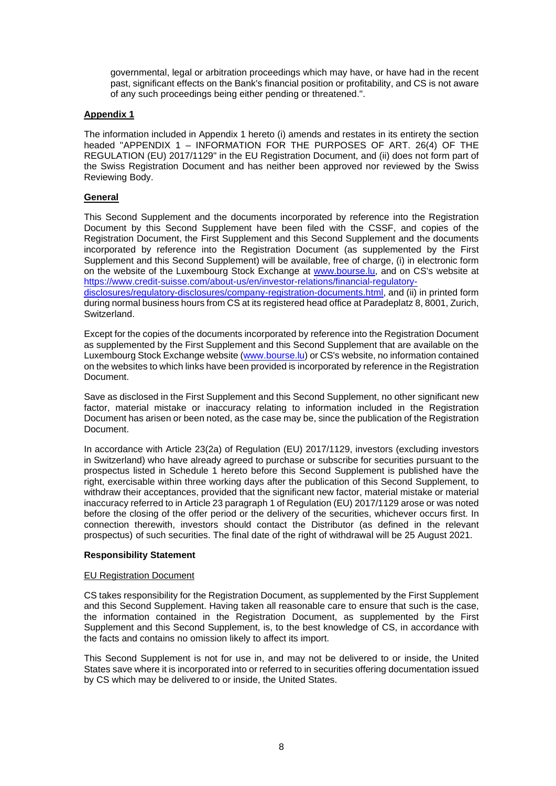governmental, legal or arbitration proceedings which may have, or have had in the recent past, significant effects on the Bank's financial position or profitability, and CS is not aware of any such proceedings being either pending or threatened.".

# **Appendix 1**

The information included in Appendix 1 hereto (i) amends and restates in its entirety the section headed "APPENDIX 1 – INFORMATION FOR THE PURPOSES OF ART. 26(4) OF THE REGULATION (EU) 2017/1129" in the EU Registration Document, and (ii) does not form part of the Swiss Registration Document and has neither been approved nor reviewed by the Swiss Reviewing Body.

# **General**

This Second Supplement and the documents incorporated by reference into the Registration Document by this Second Supplement have been filed with the CSSF, and copies of the Registration Document, the First Supplement and this Second Supplement and the documents incorporated by reference into the Registration Document (as supplemented by the First Supplement and this Second Supplement) will be available, free of charge, (i) in electronic form on the website of the Luxembourg Stock Exchange at [www.bourse.lu,](http://www.bourse.lu/) and on CS's website at [https://www.credit-suisse.com/about-us/en/investor-relations/financial-regulatory](https://www.credit-suisse.com/about-us/en/investor-relations/financial-regulatory-disclosures/regulatory-disclosures/company-registration-documents.html)[disclosures/regulatory-disclosures/company-registration-documents.html, and \(ii\) in printed form](https://www.credit-suisse.com/about-us/en/investor-relations/financial-regulatory-disclosures/regulatory-disclosures/company-registration-documents.html)  during normal business hours from CS at its registered head office at Paradeplatz 8, 8001, Zurich, Switzerland.

Except for the copies of the documents incorporated by reference into the Registration Document as supplemented by the First Supplement and this Second Supplement that are available on the Luxembourg Stock Exchange website ([www.bourse.lu](http://www.bourse.lu/)) or CS's website, no information contained on the websites to which links have been provided is incorporated by reference in the Registration Document.

Save as disclosed in the First Supplement and this Second Supplement, no other significant new factor, material mistake or inaccuracy relating to information included in the Registration Document has arisen or been noted, as the case may be, since the publication of the Registration Document.

In accordance with Article 23(2a) of Regulation (EU) 2017/1129, investors (excluding investors in Switzerland) who have already agreed to purchase or subscribe for securities pursuant to the prospectus listed in Schedule 1 hereto before this Second Supplement is published have the right, exercisable within three working days after the publication of this Second Supplement, to withdraw their acceptances, provided that the significant new factor, material mistake or material inaccuracy referred to in Article 23 paragraph 1 of Regulation (EU) 2017/1129 arose or was noted before the closing of the offer period or the delivery of the securities, whichever occurs first. In connection therewith, investors should contact the Distributor (as defined in the relevant prospectus) of such securities. The final date of the right of withdrawal will be 25 August 2021.

# **Responsibility Statement**

# EU Registration Document

CS takes responsibility for the Registration Document, as supplemented by the First Supplement and this Second Supplement. Having taken all reasonable care to ensure that such is the case, the information contained in the Registration Document, as supplemented by the First Supplement and this Second Supplement, is, to the best knowledge of CS, in accordance with the facts and contains no omission likely to affect its import.

This Second Supplement is not for use in, and may not be delivered to or inside, the United States save where it is incorporated into or referred to in securities offering documentation issued by CS which may be delivered to or inside, the United States.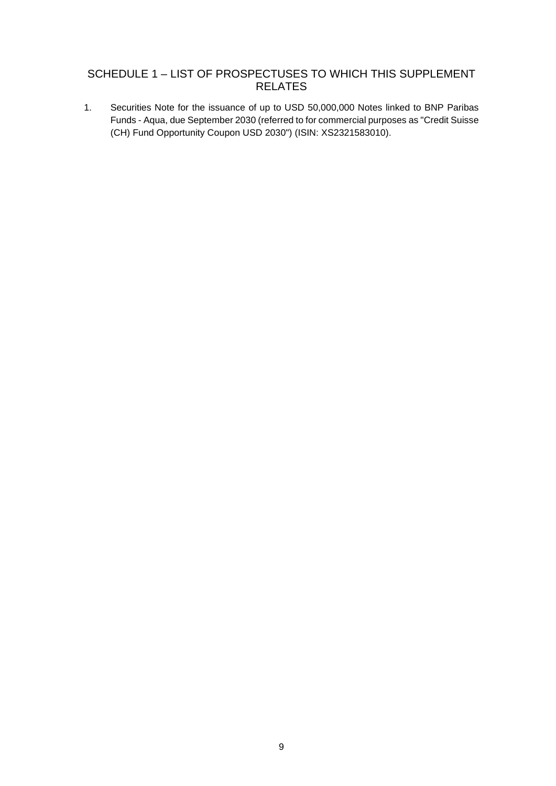# SCHEDULE 1 – LIST OF PROSPECTUSES TO WHICH THIS SUPPLEMENT RELATES

1. Securities Note for the issuance of up to USD 50,000,000 Notes linked to BNP Paribas Funds - Aqua, due September 2030 (referred to for commercial purposes as "Credit Suisse (CH) Fund Opportunity Coupon USD 2030") (ISIN: XS2321583010).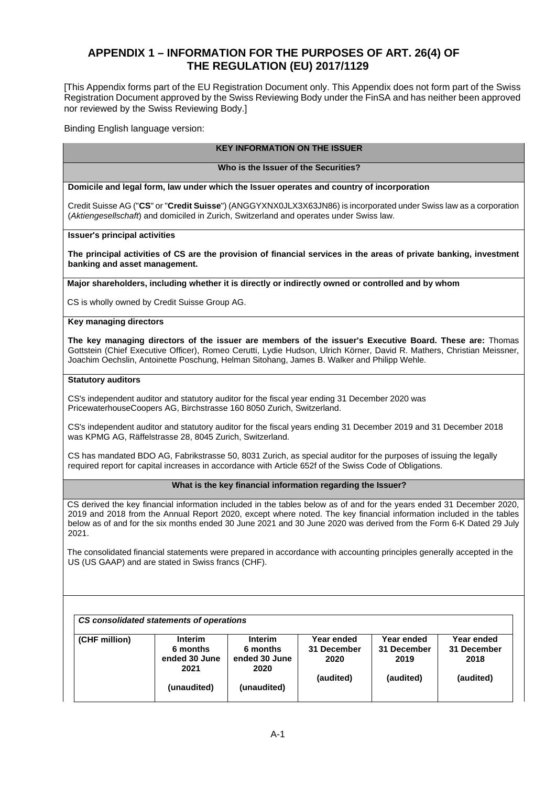# **APPENDIX 1 – INFORMATION FOR THE PURPOSES OF ART. 26(4) OF THE REGULATION (EU) 2017/1129**

[This Appendix forms part of the EU Registration Document only. This Appendix does not form part of the Swiss Registration Document approved by the Swiss Reviewing Body under the FinSA and has neither been approved nor reviewed by the Swiss Reviewing Body.]

Binding English language version:

# **KEY INFORMATION ON THE ISSUER**

**Who is the Issuer of the Securities?** 

**Domicile and legal form, law under which the Issuer operates and country of incorporation** 

Credit Suisse AG ("**CS**" or "**Credit Suisse**") (ANGGYXNX0JLX3X63JN86) is incorporated under Swiss law as a corporation (*Aktiengesellschaft*) and domiciled in Zurich, Switzerland and operates under Swiss law.

**Issuer's principal activities** 

**The principal activities of CS are the provision of financial services in the areas of private banking, investment banking and asset management.** 

**Major shareholders, including whether it is directly or indirectly owned or controlled and by whom**

CS is wholly owned by Credit Suisse Group AG.

# **Key managing directors**

**The key managing directors of the issuer are members of the issuer's Executive Board. These are:** Thomas Gottstein (Chief Executive Officer), Romeo Cerutti, Lydie Hudson, Ulrich Körner, David R. Mathers, Christian Meissner, Joachim Oechslin, Antoinette Poschung, Helman Sitohang, James B. Walker and Philipp Wehle.

#### **Statutory auditors**

CS's independent auditor and statutory auditor for the fiscal year ending 31 December 2020 was PricewaterhouseCoopers AG, Birchstrasse 160 8050 Zurich, Switzerland.

CS's independent auditor and statutory auditor for the fiscal years ending 31 December 2019 and 31 December 2018 was KPMG AG, Räffelstrasse 28, 8045 Zurich, Switzerland.

CS has mandated BDO AG, Fabrikstrasse 50, 8031 Zurich, as special auditor for the purposes of issuing the legally required report for capital increases in accordance with Article 652f of the Swiss Code of Obligations.

# **What is the key financial information regarding the Issuer?**

CS derived the key financial information included in the tables below as of and for the years ended 31 December 2020, 2019 and 2018 from the Annual Report 2020, except where noted. The key financial information included in the tables below as of and for the six months ended 30 June 2021 and 30 June 2020 was derived from the Form 6-K Dated 29 July 2021.

The consolidated financial statements were prepared in accordance with accounting principles generally accepted in the US (US GAAP) and are stated in Swiss francs (CHF).

| <b>Interim</b> | <b>Interim</b> | Year ended  | Year ended  | Year ended  |
|----------------|----------------|-------------|-------------|-------------|
| 6 months       | 6 months       | 31 December | 31 December | 31 December |
| ended 30 June  | ended 30 June  | 2020        | 2019        | 2018        |
| 2021           | 2020           |             |             |             |
|                |                |             |             | (audited)   |
| (unaudited)    | (unaudited)    |             |             |             |
|                |                |             | (audited)   | (audited)   |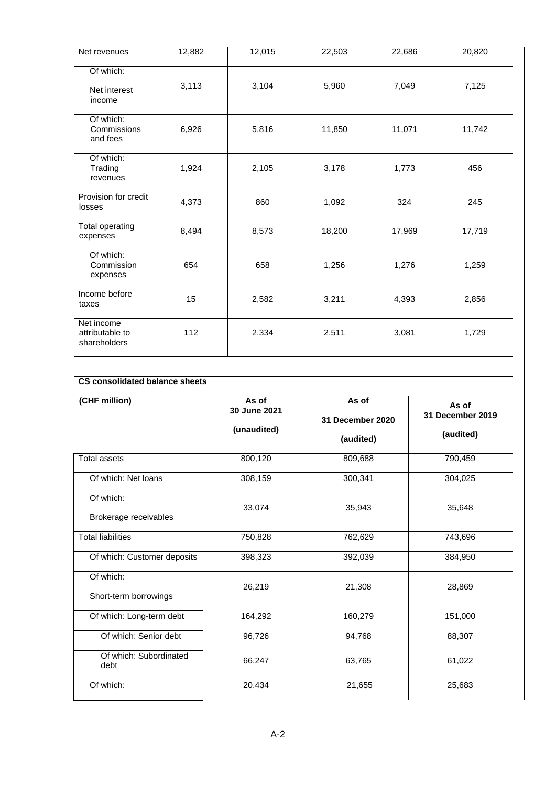| Net revenues                                  | 12,882 | 12,015 | 22,503 | 22,686 | 20,820 |
|-----------------------------------------------|--------|--------|--------|--------|--------|
| Of which:<br>Net interest<br>income           | 3,113  | 3,104  | 5,960  | 7,049  | 7,125  |
| Of which:<br>Commissions<br>and fees          | 6,926  | 5,816  | 11,850 | 11,071 | 11,742 |
| Of which:<br>Trading<br>revenues              | 1,924  | 2,105  | 3,178  | 1,773  | 456    |
| Provision for credit<br>losses                | 4,373  | 860    | 1,092  | 324    | 245    |
| Total operating<br>expenses                   | 8,494  | 8,573  | 18,200 | 17,969 | 17,719 |
| Of which:<br>Commission<br>expenses           | 654    | 658    | 1,256  | 1,276  | 1,259  |
| Income before<br>taxes                        | 15     | 2,582  | 3,211  | 4,393  | 2,856  |
| Net income<br>attributable to<br>shareholders | 112    | 2,334  | 2,511  | 3,081  | 1,729  |

| CS consolidated balance sheets |
|--------------------------------|
|                                |

| (CHF million)                      | As of<br>30 June 2021<br>(unaudited) | As of<br>31 December 2020<br>(audited) | As of<br>31 December 2019<br>(audited) |
|------------------------------------|--------------------------------------|----------------------------------------|----------------------------------------|
| <b>Total assets</b>                | 800,120                              | 809,688                                | 790,459                                |
| Of which: Net loans                | 308,159                              | 300,341                                | 304,025                                |
| Of which:<br>Brokerage receivables | 33,074                               | 35,943                                 | 35,648                                 |
| <b>Total liabilities</b>           | 750,828                              | 762,629                                | 743,696                                |
| Of which: Customer deposits        | 398,323                              | 392,039                                | 384,950                                |
| Of which:<br>Short-term borrowings | 26,219                               | 21,308                                 | 28,869                                 |
| Of which: Long-term debt           | 164,292                              | 160,279                                | 151,000                                |
| Of which: Senior debt              | 96,726                               | 94,768                                 | 88,307                                 |
| Of which: Subordinated<br>debt     | 66,247                               | 63,765                                 | 61,022                                 |
| Of which:                          | 20,434                               | 21,655                                 | 25,683                                 |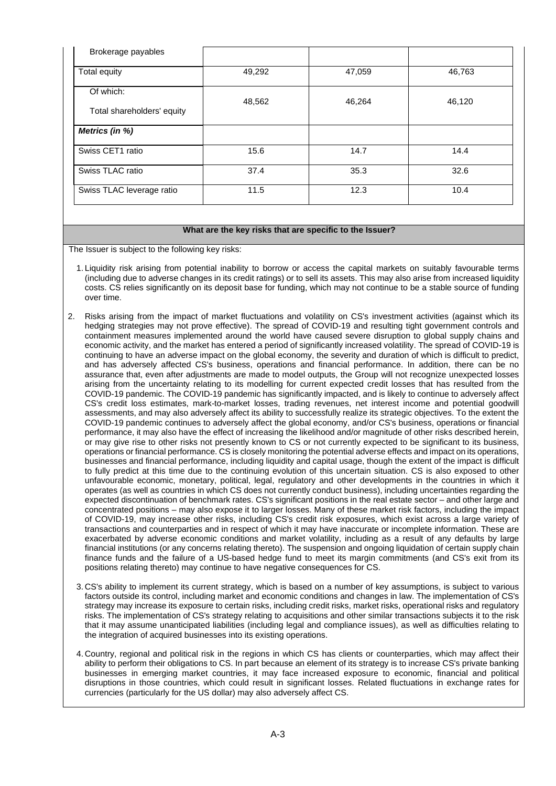| Brokerage payables                      |        |        |        |
|-----------------------------------------|--------|--------|--------|
| Total equity                            | 49,292 | 47,059 | 46,763 |
| Of which:<br>Total shareholders' equity | 48,562 | 46,264 | 46,120 |
| Metrics (in %)                          |        |        |        |
| Swiss CET1 ratio                        | 15.6   | 14.7   | 14.4   |
| Swiss TLAC ratio                        | 37.4   | 35.3   | 32.6   |
| Swiss TLAC leverage ratio               | 11.5   | 12.3   | 10.4   |

#### **What are the key risks that are specific to the Issuer?**

The Issuer is subject to the following key risks:

- 1. Liquidity risk arising from potential inability to borrow or access the capital markets on suitably favourable terms (including due to adverse changes in its credit ratings) or to sell its assets. This may also arise from increased liquidity costs. CS relies significantly on its deposit base for funding, which may not continue to be a stable source of funding over time.
- 2. Risks arising from the impact of market fluctuations and volatility on CS's investment activities (against which its hedging strategies may not prove effective). The spread of COVID-19 and resulting tight government controls and containment measures implemented around the world have caused severe disruption to global supply chains and economic activity, and the market has entered a period of significantly increased volatility. The spread of COVID-19 is continuing to have an adverse impact on the global economy, the severity and duration of which is difficult to predict, and has adversely affected CS's business, operations and financial performance. In addition, there can be no assurance that, even after adjustments are made to model outputs, the Group will not recognize unexpected losses arising from the uncertainty relating to its modelling for current expected credit losses that has resulted from the COVID-19 pandemic. The COVID-19 pandemic has significantly impacted, and is likely to continue to adversely affect CS's credit loss estimates, mark-to-market losses, trading revenues, net interest income and potential goodwill assessments, and may also adversely affect its ability to successfully realize its strategic objectives. To the extent the COVID-19 pandemic continues to adversely affect the global economy, and/or CS's business, operations or financial performance, it may also have the effect of increasing the likelihood and/or magnitude of other risks described herein, or may give rise to other risks not presently known to CS or not currently expected to be significant to its business, operations or financial performance. CS is closely monitoring the potential adverse effects and impact on its operations, businesses and financial performance, including liquidity and capital usage, though the extent of the impact is difficult to fully predict at this time due to the continuing evolution of this uncertain situation. CS is also exposed to other unfavourable economic, monetary, political, legal, regulatory and other developments in the countries in which it operates (as well as countries in which CS does not currently conduct business), including uncertainties regarding the expected discontinuation of benchmark rates. CS's significant positions in the real estate sector – and other large and concentrated positions – may also expose it to larger losses. Many of these market risk factors, including the impact of COVID-19, may increase other risks, including CS's credit risk exposures, which exist across a large variety of transactions and counterparties and in respect of which it may have inaccurate or incomplete information. These are exacerbated by adverse economic conditions and market volatility, including as a result of any defaults by large financial institutions (or any concerns relating thereto). The suspension and ongoing liquidation of certain supply chain finance funds and the failure of a US-based hedge fund to meet its margin commitments (and CS's exit from its positions relating thereto) may continue to have negative consequences for CS.
	- 3. CS's ability to implement its current strategy, which is based on a number of key assumptions, is subject to various factors outside its control, including market and economic conditions and changes in law. The implementation of CS's strategy may increase its exposure to certain risks, including credit risks, market risks, operational risks and regulatory risks. The implementation of CS's strategy relating to acquisitions and other similar transactions subjects it to the risk that it may assume unanticipated liabilities (including legal and compliance issues), as well as difficulties relating to the integration of acquired businesses into its existing operations.
	- 4. Country, regional and political risk in the regions in which CS has clients or counterparties, which may affect their ability to perform their obligations to CS. In part because an element of its strategy is to increase CS's private banking businesses in emerging market countries, it may face increased exposure to economic, financial and political disruptions in those countries, which could result in significant losses. Related fluctuations in exchange rates for currencies (particularly for the US dollar) may also adversely affect CS.